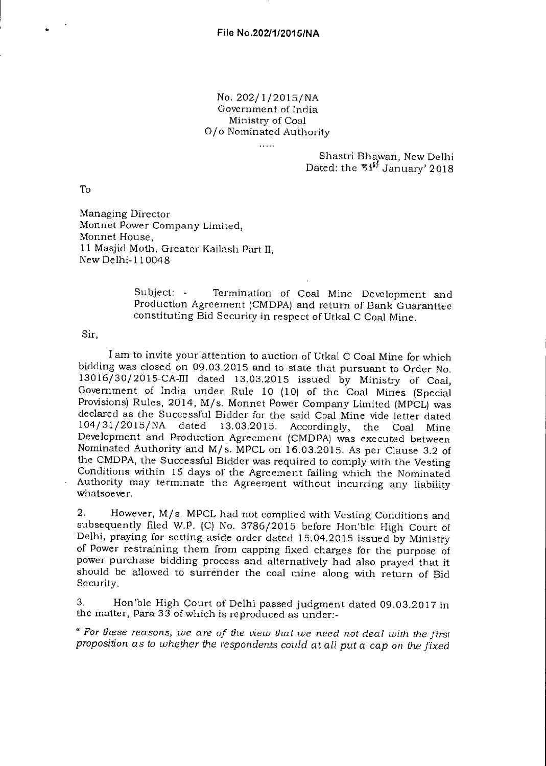## No. 202/1/2015/NA Government of India Ministry of Coal 0/o Nominated Authority

alar<br>Sanadi

## Shastri Bhawan, New Delhi Dated: the  $54<sup>5</sup>$  January' 2018

To

Managing Director Monnet Power Company Limited, Monnet House, 11 Masjid Moth, Greater Kailash Part II, New Delhi-110048

> Subject: - Termination of Coal Mine Development and Production Agreement (CMDPA) and return of Bank Guaranttee constituting Bid Security in respect of Utkal C Coal Mine.

Sir,

I am to invite your attention to auction of Utkal C Coal Mine for which bidding was closed on 09.03.2015 and to state that pursuant to Order No. 13016/30/2015-CA-III dated 13.03.2015 issued by Ministry of Coal, Government of India under Rule 10 (10) of the Coal Mines (Special Provisions) Rules, 2014, M/s. Monnet Power Company Limited (MPCL) was declared as the Successful Bidder for the said Coal Mine vide letter dated 104/31/2015/NA dated 13.03.2015. Accordingly, the Coal Mine Development and Production Agreement (CMDPA) was executed between Nominated Authority and M/s. MPCL on 16.03.2015. As per Clause 3.2 of the CMDPA, the Successful Bidder was required to comply with the Vesting Conditions within 15 days of the Agreement failing which the Nominated Authority may terminate the Agreement without incurring any liability whatsoever.

2. However, M/s. MPCL had not complied with Vesting Conditions and subsequently filed W.P. (C) No. 3786/2015 before Hon'ble High Court of Delhi, praying for setting aside order dated 15.04.2015 issued by Ministry of Power restraining them from capping fixed charges for the purpose of power purchase bidding process and alternatively had also prayed that it should be allowed to surrender the coal mine along with return of Bid Security.

3. Hon'ble High Court of Delhi passed judgment dated 09.03.2017 in the matter, Para 33 of which is reproduced as under:-

" *For these reasons, we are of the view that we need not deal with the firs! proposition as to whether the respondents could at all put* a *cap on the fixed*